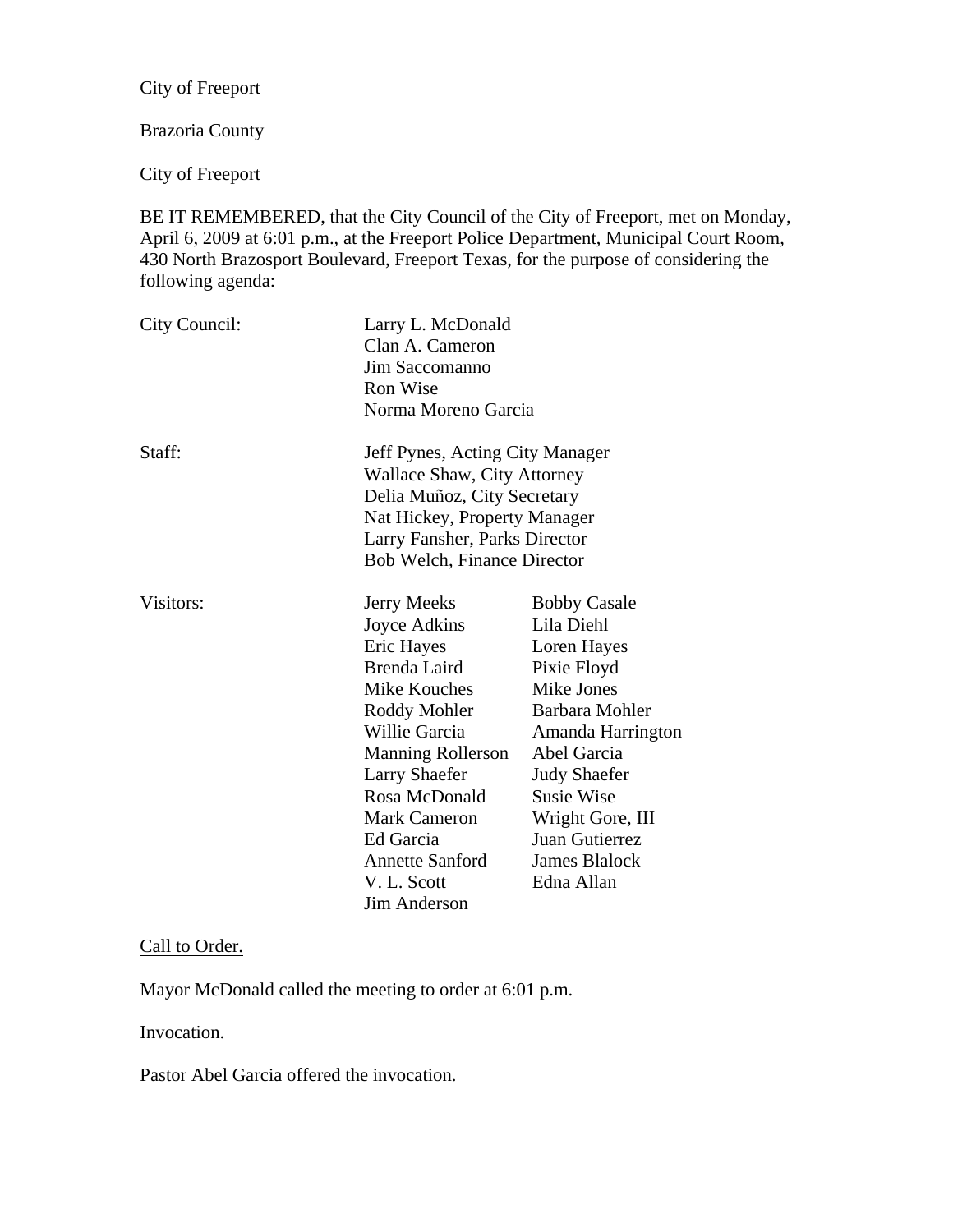City of Freeport

# Brazoria County

City of Freeport

BE IT REMEMBERED, that the City Council of the City of Freeport, met on Monday, April 6, 2009 at 6:01 p.m., at the Freeport Police Department, Municipal Court Room, 430 North Brazosport Boulevard, Freeport Texas, for the purpose of considering the following agenda:

| City Council: | Larry L. McDonald<br>Clan A. Cameron<br>Jim Saccomanno<br>Ron Wise<br>Norma Moreno Garcia                                                                                                                                                                                           |                                                                                                                                                                                                                                                      |
|---------------|-------------------------------------------------------------------------------------------------------------------------------------------------------------------------------------------------------------------------------------------------------------------------------------|------------------------------------------------------------------------------------------------------------------------------------------------------------------------------------------------------------------------------------------------------|
| Staff:        | Jeff Pynes, Acting City Manager<br><b>Wallace Shaw, City Attorney</b><br>Delia Muñoz, City Secretary<br>Nat Hickey, Property Manager<br>Larry Fansher, Parks Director<br><b>Bob Welch, Finance Director</b>                                                                         |                                                                                                                                                                                                                                                      |
| Visitors:     | Jerry Meeks<br>Joyce Adkins<br>Eric Hayes<br>Brenda Laird<br>Mike Kouches<br>Roddy Mohler<br>Willie Garcia<br><b>Manning Rollerson</b><br><b>Larry Shaefer</b><br>Rosa McDonald<br><b>Mark Cameron</b><br>Ed Garcia<br><b>Annette Sanford</b><br>V. L. Scott<br><b>Jim Anderson</b> | <b>Bobby Casale</b><br>Lila Diehl<br>Loren Hayes<br>Pixie Floyd<br>Mike Jones<br>Barbara Mohler<br>Amanda Harrington<br>Abel Garcia<br><b>Judy Shaefer</b><br><b>Susie Wise</b><br>Wright Gore, III<br>Juan Gutierrez<br>James Blalock<br>Edna Allan |

#### Call to Order.

Mayor McDonald called the meeting to order at 6:01 p.m.

#### Invocation.

Pastor Abel Garcia offered the invocation.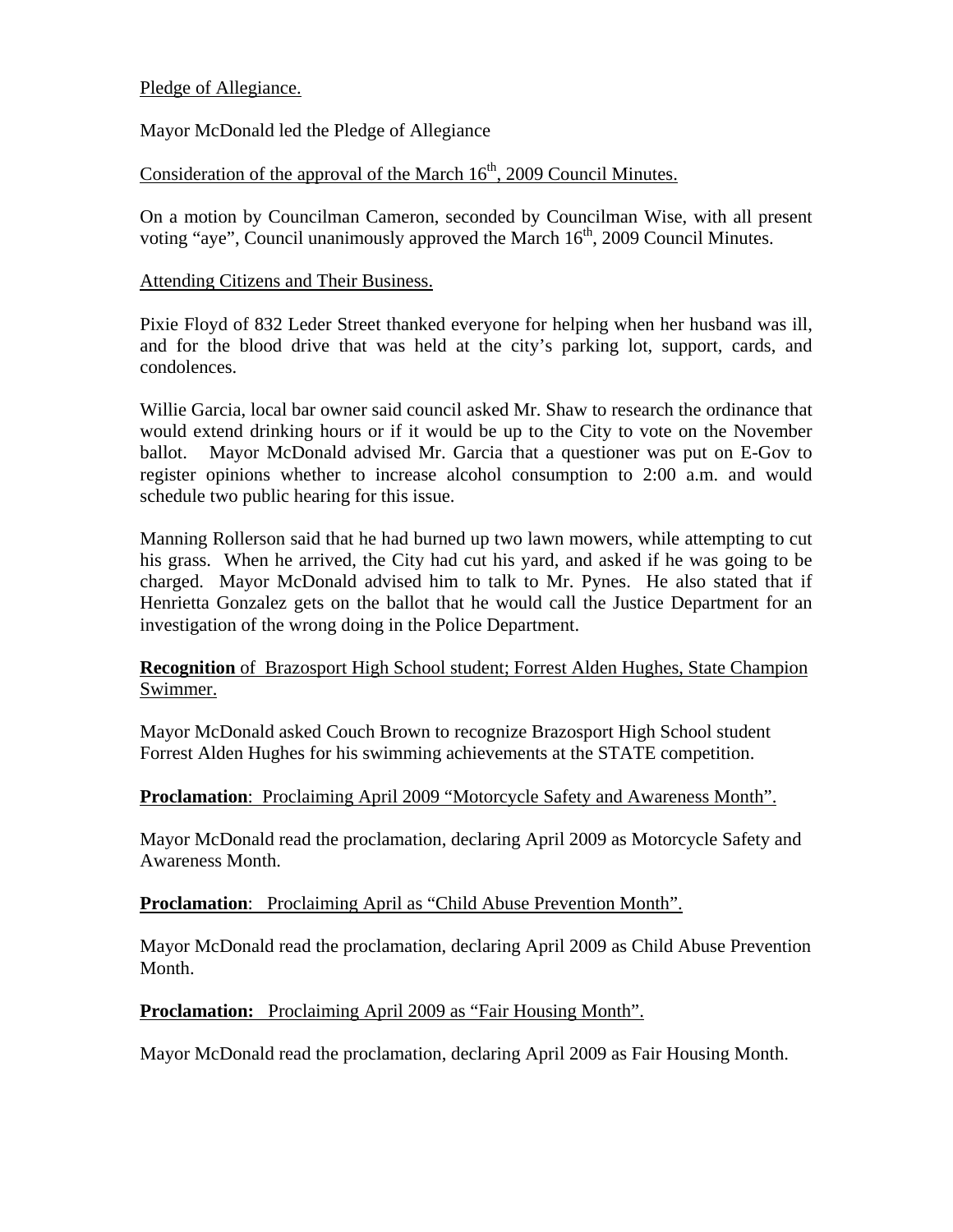## Pledge of Allegiance.

Mayor McDonald led the Pledge of Allegiance

# Consideration of the approval of the March  $16<sup>th</sup>$ , 2009 Council Minutes.

On a motion by Councilman Cameron, seconded by Councilman Wise, with all present voting "aye", Council unanimously approved the March  $16<sup>th</sup>$ , 2009 Council Minutes.

#### Attending Citizens and Their Business.

Pixie Floyd of 832 Leder Street thanked everyone for helping when her husband was ill, and for the blood drive that was held at the city's parking lot, support, cards, and condolences.

Willie Garcia, local bar owner said council asked Mr. Shaw to research the ordinance that would extend drinking hours or if it would be up to the City to vote on the November ballot. Mayor McDonald advised Mr. Garcia that a questioner was put on E-Gov to register opinions whether to increase alcohol consumption to 2:00 a.m. and would schedule two public hearing for this issue.

Manning Rollerson said that he had burned up two lawn mowers, while attempting to cut his grass. When he arrived, the City had cut his yard, and asked if he was going to be charged. Mayor McDonald advised him to talk to Mr. Pynes. He also stated that if Henrietta Gonzalez gets on the ballot that he would call the Justice Department for an investigation of the wrong doing in the Police Department.

## **Recognition** of Brazosport High School student; Forrest Alden Hughes, State Champion Swimmer.

Mayor McDonald asked Couch Brown to recognize Brazosport High School student Forrest Alden Hughes for his swimming achievements at the STATE competition.

#### **Proclamation**: Proclaiming April 2009 "Motorcycle Safety and Awareness Month".

Mayor McDonald read the proclamation, declaring April 2009 as Motorcycle Safety and Awareness Month.

#### **Proclamation:** Proclaiming April as "Child Abuse Prevention Month".

Mayor McDonald read the proclamation, declaring April 2009 as Child Abuse Prevention Month.

#### **Proclamation:** Proclaiming April 2009 as "Fair Housing Month".

Mayor McDonald read the proclamation, declaring April 2009 as Fair Housing Month.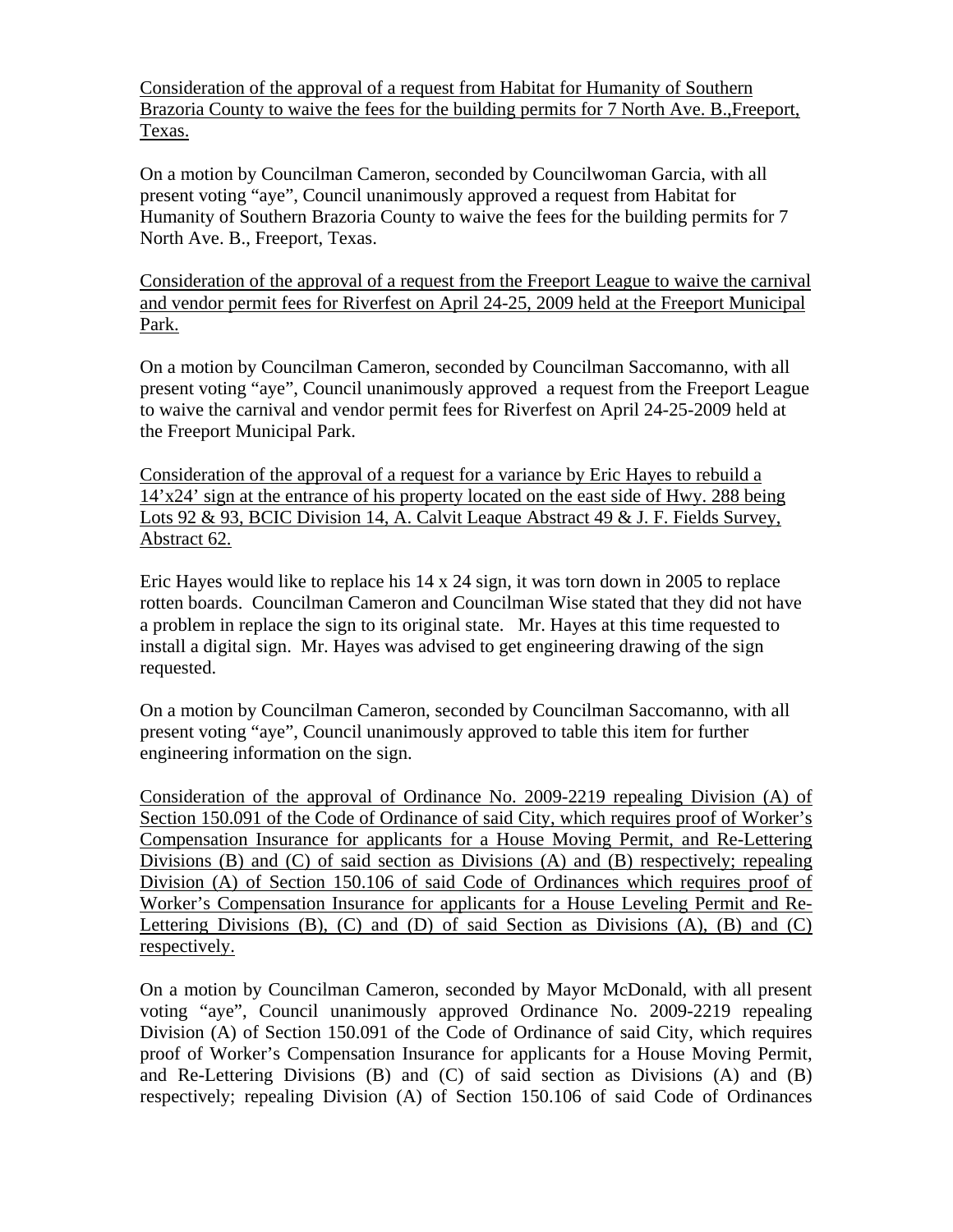Consideration of the approval of a request from Habitat for Humanity of Southern Brazoria County to waive the fees for the building permits for 7 North Ave. B.,Freeport, Texas.

On a motion by Councilman Cameron, seconded by Councilwoman Garcia, with all present voting "aye", Council unanimously approved a request from Habitat for Humanity of Southern Brazoria County to waive the fees for the building permits for 7 North Ave. B., Freeport, Texas.

Consideration of the approval of a request from the Freeport League to waive the carnival and vendor permit fees for Riverfest on April 24-25, 2009 held at the Freeport Municipal Park.

On a motion by Councilman Cameron, seconded by Councilman Saccomanno, with all present voting "aye", Council unanimously approved a request from the Freeport League to waive the carnival and vendor permit fees for Riverfest on April 24-25-2009 held at the Freeport Municipal Park.

Consideration of the approval of a request for a variance by Eric Hayes to rebuild a 14'x24' sign at the entrance of his property located on the east side of Hwy. 288 being Lots 92 & 93, BCIC Division 14, A. Calvit Leaque Abstract 49 & J. F. Fields Survey, Abstract 62.

Eric Hayes would like to replace his 14 x 24 sign, it was torn down in 2005 to replace rotten boards. Councilman Cameron and Councilman Wise stated that they did not have a problem in replace the sign to its original state. Mr. Hayes at this time requested to install a digital sign. Mr. Hayes was advised to get engineering drawing of the sign requested.

On a motion by Councilman Cameron, seconded by Councilman Saccomanno, with all present voting "aye", Council unanimously approved to table this item for further engineering information on the sign.

Consideration of the approval of Ordinance No. 2009-2219 repealing Division (A) of Section 150.091 of the Code of Ordinance of said City, which requires proof of Worker's Compensation Insurance for applicants for a House Moving Permit, and Re-Lettering Divisions (B) and (C) of said section as Divisions (A) and (B) respectively; repealing Division (A) of Section 150.106 of said Code of Ordinances which requires proof of Worker's Compensation Insurance for applicants for a House Leveling Permit and Re-Lettering Divisions  $(B)$ ,  $(C)$  and  $(D)$  of said Section as Divisions  $(A)$ ,  $(B)$  and  $(C)$ respectively.

On a motion by Councilman Cameron, seconded by Mayor McDonald, with all present voting "aye", Council unanimously approved Ordinance No. 2009-2219 repealing Division (A) of Section 150.091 of the Code of Ordinance of said City, which requires proof of Worker's Compensation Insurance for applicants for a House Moving Permit, and Re-Lettering Divisions (B) and (C) of said section as Divisions (A) and (B) respectively; repealing Division (A) of Section 150.106 of said Code of Ordinances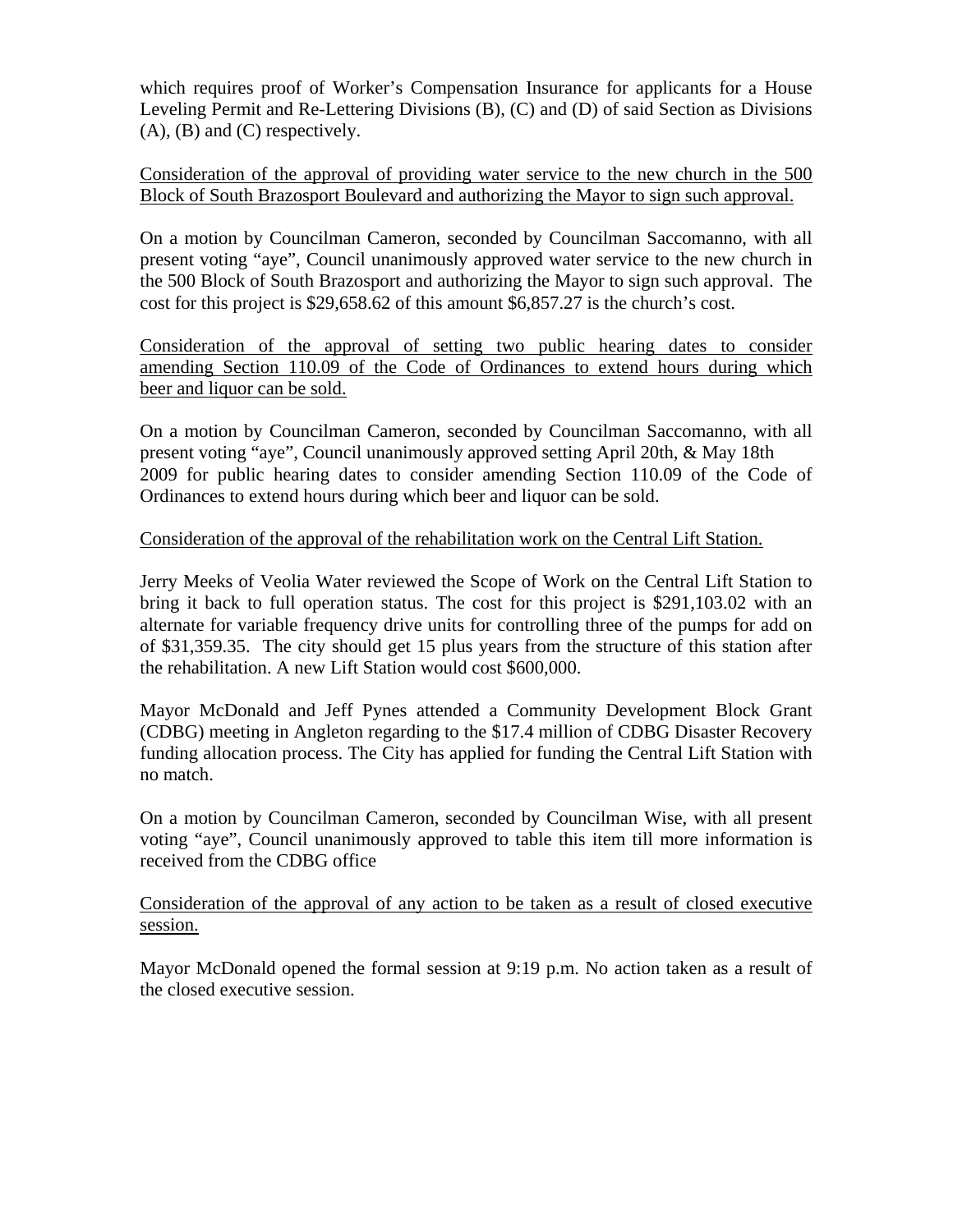which requires proof of Worker's Compensation Insurance for applicants for a House Leveling Permit and Re-Lettering Divisions (B), (C) and (D) of said Section as Divisions (A), (B) and (C) respectively.

Consideration of the approval of providing water service to the new church in the 500 Block of South Brazosport Boulevard and authorizing the Mayor to sign such approval.

On a motion by Councilman Cameron, seconded by Councilman Saccomanno, with all present voting "aye", Council unanimously approved water service to the new church in the 500 Block of South Brazosport and authorizing the Mayor to sign such approval. The cost for this project is \$29,658.62 of this amount \$6,857.27 is the church's cost.

Consideration of the approval of setting two public hearing dates to consider amending Section 110.09 of the Code of Ordinances to extend hours during which beer and liquor can be sold.

On a motion by Councilman Cameron, seconded by Councilman Saccomanno, with all present voting "aye", Council unanimously approved setting April 20th, & May 18th 2009 for public hearing dates to consider amending Section 110.09 of the Code of Ordinances to extend hours during which beer and liquor can be sold.

## Consideration of the approval of the rehabilitation work on the Central Lift Station.

Jerry Meeks of Veolia Water reviewed the Scope of Work on the Central Lift Station to bring it back to full operation status. The cost for this project is \$291,103.02 with an alternate for variable frequency drive units for controlling three of the pumps for add on of \$31,359.35. The city should get 15 plus years from the structure of this station after the rehabilitation. A new Lift Station would cost \$600,000.

Mayor McDonald and Jeff Pynes attended a Community Development Block Grant (CDBG) meeting in Angleton regarding to the \$17.4 million of CDBG Disaster Recovery funding allocation process. The City has applied for funding the Central Lift Station with no match.

On a motion by Councilman Cameron, seconded by Councilman Wise, with all present voting "aye", Council unanimously approved to table this item till more information is received from the CDBG office

Consideration of the approval of any action to be taken as a result of closed executive session.

Mayor McDonald opened the formal session at 9:19 p.m. No action taken as a result of the closed executive session.